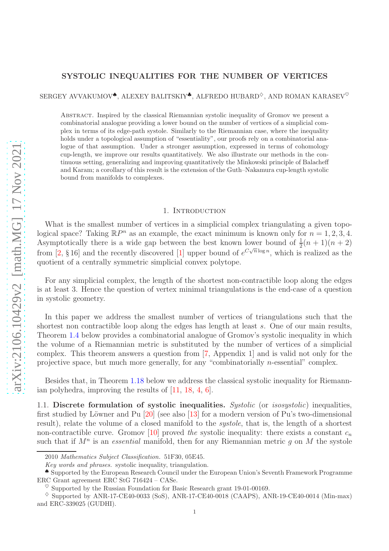## SYSTOLIC INEQUALITIES FOR THE NUMBER OF VERTICES

SERGEY AVVAKUMOV<sup> $\bullet$ </sup>, ALEXEY BALITSKIY<sup> $\bullet$ </sup>, ALFREDO HUBARD<sup> $\diamond$ </sup>, AND ROMAN KARASEV<sup> $\diamond$ </sup>

Abstract. Inspired by the classical Riemannian systolic inequality of Gromov we present a combinatorial analogue providing a lower bound on the number of vertices of a simplicial complex in terms of its edge-path systole. Similarly to the Riemannian case, where the inequality holds under a topological assumption of "essentiality", our proofs rely on a combinatorial analogue of that assumption. Under a stronger assumption, expressed in terms of cohomology cup-length, we improve our results quantitatively. We also illustrate our methods in the continuous setting, generalizing and improving quantitatively the Minkowski principle of Balacheff and Karam; a corollary of this result is the extension of the Guth–Nakamura cup-length systolic bound from manifolds to complexes.

#### 1. INTRODUCTION

What is the smallest number of vertices in a simplicial complex triangulating a given topological space? Taking  $\mathbb{R}P^n$  as an example, the exact minimum is known only for  $n = 1, 2, 3, 4$ . Asymptotically there is a wide gap between the best known lower bound of  $\frac{1}{2}(n+1)(n+2)$ from [\[2,](#page-15-0) § 16] and the recently discovered [\[1\]](#page-15-1) upper bound of  $e^{C\sqrt{n}\log n}$ , which is realized as the quotient of a centrally symmetric simplicial convex polytope.

For any simplicial complex, the length of the shortest non-contractible loop along the edges is at least 3. Hence the question of vertex minimal triangulations is the end-case of a question in systolic geometry.

In this paper we address the smallest number of vertices of triangulations such that the shortest non contractible loop along the edges has length at least s. One of our main results, Theorem [1.4](#page-1-0) below provides a combinatorial analogue of Gromov's systolic inequality in which the volume of a Riemannian metric is substituted by the number of vertices of a simplicial complex. This theorem answers a question from [\[7,](#page-15-2) Appendix 1] and is valid not only for the projective space, but much more generally, for any "combinatorially n-essential" complex.

Besides that, in Theorem [1.18](#page-4-0) below we address the classical systolic inequality for Riemannian polyhedra, improving the results of [\[11,](#page-15-3) [18,](#page-16-0) [4,](#page-15-4) [6\]](#page-15-5).

1.1. Discrete formulation of systolic inequalities. Systolic (or isosystolic) inequalities, first studied by Löwner and Pu  $[20]$  (see also  $[13]$  for a modern version of Pu's two-dimensional result), relate the volume of a closed manifold to the systole, that is, the length of a shortest non-contractible curve. Gromov [\[10\]](#page-15-7) proved the systolic inequality: there exists a constant  $c_n$ such that if  $M^n$  is an *essential* manifold, then for any Riemannian metric g on M the systole

<sup>2010</sup> Mathematics Subject Classification. 51F30, 05E45.

Key words and phrases. systolic inequality, triangulation.

<sup>♠</sup> Supported by the European Research Council under the European Union's Seventh Framework Programme ERC Grant agreement ERC StG 716424 – CASe.

 $\degree$  Supported by the Russian Foundation for Basic Research grant 19-01-00169.

 $\Diamond$  Supported by ANR-17-CE40-0033 (SoS), ANR-17-CE40-0018 (CAAPS), ANR-19-CE40-0014 (Min-max) and ERC-339025 (GUDHI). 1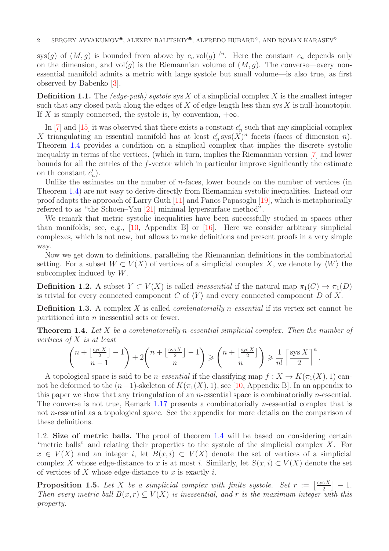sys(g) of  $(M, g)$  is bounded from above by  $c_n \text{ vol}(g)^{1/n}$ . Here the constant  $c_n$  depends only on the dimension, and vol(g) is the Riemannian volume of  $(M, g)$ . The converse—every nonessential manifold admits a metric with large systole but small volume—is also true, as first observed by Babenko [\[3\]](#page-15-8).

**Definition 1.1.** The (edge-path) systole sys X of a simplicial complex X is the smallest integer such that any closed path along the edges of  $X$  of edge-length less than sys  $X$  is null-homotopic. If X is simply connected, the systole is, by convention,  $+\infty$ .

In [\[7\]](#page-15-2) and [\[15\]](#page-15-9) it was observed that there exists a constant  $c'_n$  such that any simplicial complex X triangulating an essential manifold has at least  $c'_n$  sys $(X)^n$  facets (faces of dimension n). Theorem [1.4](#page-1-0) provides a condition on a simplical complex that implies the discrete systolic inequality in terms of the vertices, (which in turn, implies the Riemannian version [\[7\]](#page-15-2) and lower bounds for all the entries of the f-vector which in particular improve significantly the estimate on th constant  $c'_n$ ).

Unlike the estimates on the number of  $n$ -faces, lower bounds on the number of vertices (in Theorem [1.4\)](#page-1-0) are not easy to derive directly from Riemannian systolic inequalities. Instead our proof adapts the approach of Larry Guth [\[11\]](#page-15-3) and Panos Papasoglu [\[19\]](#page-16-2), which is metaphorically referred to as "the Schoen–Yau [\[21\]](#page-16-3) minimal hypersurface method".

We remark that metric systolic inequalities have been successfully studied in spaces other than manifolds; see, e.g., [\[10,](#page-15-7) Appendix B] or [\[16\]](#page-15-10). Here we consider arbitrary simplicial complexes, which is not new, but allows to make definitions and present proofs in a very simple way.

Now we get down to definitions, paralleling the Riemannian definitions in the combinatorial setting. For a subset  $W \subset V(X)$  of vertices of a simplicial complex X, we denote by  $\langle W \rangle$  the subcomplex induced by W.

**Definition 1.2.** A subset  $Y \subset V(X)$  is called *inessential* if the natural map  $\pi_1(C) \to \pi_1(D)$ is trivial for every connected component C of  $\langle Y \rangle$  and every connected component D of X.

<span id="page-1-2"></span>**Definition 1.3.** A complex X is called *combinatorially n-essential* if its vertex set cannot be partitioned into n inessential sets or fewer.

<span id="page-1-0"></span>**Theorem 1.4.** Let X be a combinatorially n-essential simplicial complex. Then the number of vertices of X is at least

$$
\binom{n+\left\lfloor \frac{\mathop{\rm sys} X}{2}\right\rfloor-1}{n-1}+2\binom{n+\left\lfloor \frac{\mathop{\rm sys} X}{2}\right\rfloor-1}{n} \geqslant \binom{n+\left\lfloor \frac{\mathop{\rm sys} X}{2}\right\rfloor}{n} \geqslant \frac{1}{n!}\left\lceil \frac{\mathop{\rm sys} X}{2}\right\rceil^n.
$$

A topological space is said to be *n-essential* if the classifying map  $f: X \to K(\pi_1(X), 1)$  cannot be deformed to the  $(n-1)$ -skeleton of  $K(\pi_1(X), 1)$ , see [\[10,](#page-15-7) Appendix B]. In an appendix to this paper we show that any triangulation of an *n*-essential space is combinatorially *n*-essential. The converse is not true, Remark [1.17](#page-4-1) presents a combinatorially *n*-essential complex that is not n-essential as a topological space. See the appendix for more details on the comparison of these definitions.

1.2. Size of metric balls. The proof of theorem [1.4](#page-1-0) will be based on considering certain "metric balls" and relating their properties to the systole of the simplicial complex  $X$ . For  $x \in V(X)$  and an integer i, let  $B(x, i) \subset V(X)$  denote the set of vertices of a simplicial complex X whose edge-distance to x is at most i. Similarly, let  $S(x, i) \subset V(X)$  denote the set of vertices of X whose edge-distance to x is exactly i.

<span id="page-1-1"></span>**Proposition 1.5.** Let X be a simplicial complex with finite systole. Set  $r := \lfloor \frac{sysX}{2} \rfloor - 1$ . Then every metric ball  $B(x, r) \subset V(X)$  is inessential, and r is the maximum integer with this property.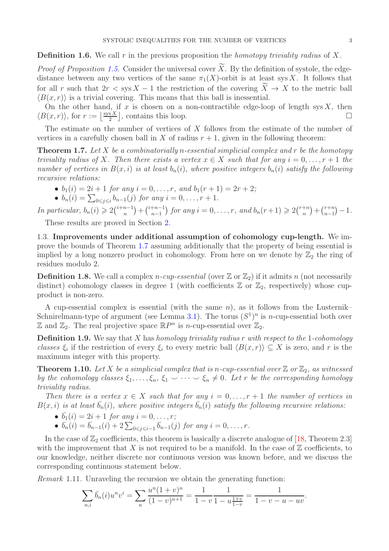**Definition 1.6.** We call r in the previous proposition the *homotopy triviality radius* of X.

*Proof of Proposition [1.5.](#page-1-1)* Consider the universal cover  $X$ . By the definition of systole, the edgedistance between any two vertices of the same  $\pi_1(X)$ -orbit is at least sys X. It follows that for all r such that  $2r <$  sys  $X - 1$  the restriction of the covering  $X \to X$  to the metric ball  $\langle B(x, r) \rangle$  is a trivial covering. This means that this ball is inessential.

On the other hand, if x is chosen on a non-contractible edge-loop of length sys  $X$ , then  $\langle B(x,r) \rangle$ , for  $r := \frac{\text{sys} X}{2}$  $\frac{\sin X}{2}$ , contains this loop.

The estimate on the number of vertices of X follows from the estimate of the number of vertices in a carefully chosen ball in X of radius  $r + 1$ , given in the following theorem:

<span id="page-2-0"></span>**Theorem 1.7.** Let X be a combinatorially n-essential simplicial complex and r be the homotopy triviality radius of X. Then there exists a vertex  $x \in X$  such that for any  $i = 0, \ldots, r + 1$  the number of vertices in  $B(x, i)$  is at least  $b_n(i)$ , where positive integers  $b_n(i)$  satisfy the following recursive relations:

- $b_1(i) = 2i + 1$  for any  $i = 0, \ldots, r$ , and  $b_1(r + 1) = 2r + 2$ ;
- $b_n(i) = \sum_{0 \le j \le i} b_{n-1}(j)$  for any  $i = 0, ..., r + 1$ .

In particular,  $b_n(i) \geq 2{i+n-1 \choose n} + {i+n-1 \choose n-1}$  $n-1$ ) for any  $i = 0, \ldots, r$ , and  $b_n(r+1) \geqslant 2\binom{r+n}{n}$  $\binom{+n}{n} + \binom{r+n}{n-1}$  $n-1$  $) - 1.$ 

These results are proved in Section [2.](#page-5-0)

1.3. Improvements under additional assumption of cohomology cup-length. We improve the bounds of Theorem [1.7](#page-2-0) assuming additionally that the property of being essential is implied by a long nonzero product in cohomology. From here on we denote by  $\mathbb{Z}_2$  the ring of residues modulo 2.

<span id="page-2-2"></span>**Definition 1.8.** We call a complex *n*-cup-essential (over  $\mathbb{Z}$  or  $\mathbb{Z}_2$ ) if it admits *n* (not necessarily distinct) cohomology classes in degree 1 (with coefficients  $\mathbb{Z}$  or  $\mathbb{Z}_2$ , respectively) whose cupproduct is non-zero.

A cup-essential complex is essential (with the same  $n$ ), as it follows from the Lusternik– Schnirelmann-type of argument (see Lemma [3.1\)](#page-7-0). The torus  $(S^1)^n$  is *n*-cup-essential both over  $\mathbb{Z}$  and  $\mathbb{Z}_2$ . The real projective space  $\mathbb{R}P^n$  is *n*-cup-essential over  $\mathbb{Z}_2$ .

**Definition 1.9.** We say that  $X$  has homology triviality radius  $r$  with respect to the 1-cohomology classes  $\xi_i$  if the restriction of every  $\xi_i$  to every metric ball  $\langle B(x, r) \rangle \subseteq X$  is zero, and r is the maximum integer with this property.

<span id="page-2-1"></span>**Theorem 1.10.** Let X be a simplicial complex that is n-cup-essential over  $\mathbb{Z}$  or  $\mathbb{Z}_2$ , as witnessed by the cohomology classes  $\xi_1, \ldots, \xi_n, \xi_1 \cup \cdots \cup \xi_n \neq 0$ . Let r be the corresponding homology triviality radius.

Then there is a vertex  $x \in X$  such that for any  $i = 0, \ldots, r + 1$  the number of vertices in  $B(x, i)$  is at least  $\breve{b}_n(i)$ , where positive integers  $\breve{b}_n(i)$  satisfy the following recursive relations:

- $b_1(i) = 2i + 1$  for any  $i = 0, ..., r;$
- $\breve{b}_n(i) = \breve{b}_{n-1}(i) + 2 \sum_{0 \leq j \leq i-1} \breve{b}_{n-1}(j)$  for any  $i = 0, \ldots, r$ .

In the case of  $\mathbb{Z}_2$  coefficients, this theorem is basically a discrete analogue of [\[18,](#page-16-0) Theorem 2.3] with the improvement that X is not required to be a manifold. In the case of  $\mathbb Z$  coefficients, to our knowledge, neither discrete nor continuous version was known before, and we discuss the corresponding continuous statement below.

Remark 1.11. Unraveling the recursion we obtain the generating function:

$$
\sum_{n,i} \tilde{b_n}(i) u^n v^i = \sum_n \frac{u^n (1+v)^n}{(1-v)^{n+1}} = \frac{1}{1-v} \frac{1}{1-u\frac{1+v}{1-v}} = \frac{1}{1-v-u-uv}.
$$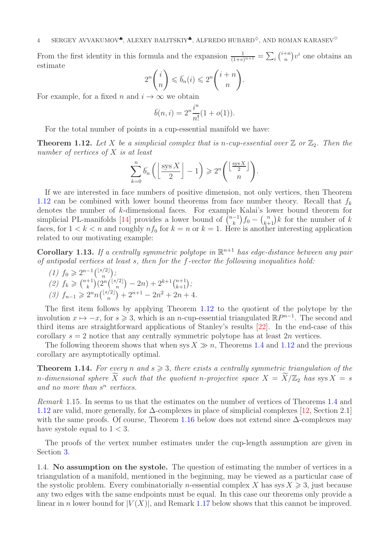From the first identity in this formula and the expansion  $\frac{1}{(1+v)^{n+1}} = \sum_i \binom{i+n}{n}$  $\binom{+n}{n}v^i$  one obtains an estimate

$$
2^{n} {i \choose n} \leqslant \tilde{b}_{n}(i) \leqslant 2^{n} {i+n \choose n}.
$$

For example, for a fixed n and  $i \to \infty$  we obtain

$$
\tilde{b}(n, i) = 2^n \frac{i^n}{n!} (1 + o(1)).
$$

For the total number of points in a cup-essential manifold we have:

<span id="page-3-0"></span>**Theorem 1.12.** Let X be a simplicial complex that is n-cup-essential over  $\mathbb{Z}$  or  $\mathbb{Z}_2$ . Then the number of vertices of X is at least

$$
\sum_{k=0}^{n} \breve{b_n} \left( \left\lfloor \frac{\operatorname{sys} X}{2} \right\rfloor - 1 \right) \geqslant 2^n \left( \frac{\left\lfloor \frac{\operatorname{sys} X}{2} \right\rfloor}{n} \right).
$$

If we are interested in face numbers of positive dimension, not only vertices, then Theorem [1.12](#page-3-0) can be combined with lower bound theorems from face number theory. Recall that  $f_k$ denotes the number of k-dimensional faces. For example Kalai's lower bound theorem for simplicial PL-manifolds [\[14\]](#page-15-11) provides a lower bound of  $\binom{n-1}{k} f_0 - \binom{n}{k+1} k$  for the number of k faces, for  $1 < k < n$  and roughly  $nf_0$  for  $k = n$  or  $k = 1$ . Here is another interesting application related to our motivating example:

**Corollary 1.13.** If a centrally symmetric polytope in  $\mathbb{R}^{n+1}$  has edge-distance between any pair of antipodal vertices at least s, then for the f-vector the following inequalities hold:

(1)  $f_0 \geq 2^{n-1} {|\frac{s}{2}| \choose n};$ (2)  $f_k \geq (n+1)$  $(k+1)(2^{n}(\binom{\lfloor s/2 \rfloor}{n} - 2n) + 2^{k+1} \binom{n+1}{k+1};$ (3)  $f_{n-1} \geq 2^n n { \binom{\lfloor s/2 \rfloor}{n}} + 2^{n+1} - 2n^2 + 2n + 4.$ 

The first item follows by applying Theorem [1.12](#page-3-0) to the quotient of the polytope by the involution  $x \mapsto -x$ , for  $s \ge 3$ , which is an n-cup-essential triangulated  $\mathbb{R}P^{n-1}$ . The second and third items are straightforward applications of Stanley's results [\[22\]](#page-16-4). In the end-case of this corollary  $s = 2$  notice that any centrally symmetric polytope has at least  $2n$  vertices.

The following theorem shows that when sys  $X \gg n$ , Theorems [1.4](#page-1-0) and [1.12](#page-3-0) and the previous corollary are asymptotically optimal.

<span id="page-3-1"></span>**Theorem 1.14.** For every n and  $s \geq 3$ , there exists a centrally symmetric triangulation of the n-dimensional sphere  $\widetilde{X}$  such that the quotient n-projective space  $X = \widetilde{X}/\mathbb{Z}_2$  has sys  $X = s$ and no more than  $s^n$  vertices.

Remark 1.15. In seems to us that the estimates on the number of vertices of Theorems [1.4](#page-1-0) and [1.12](#page-3-0) are valid, more generally, for ∆-complexes in place of simplicial complexes [\[12,](#page-15-12) Section 2.1] with the same proofs. Of course, Theorem [1.16](#page-4-2) below does not extend since  $\Delta$ -complexes may have systole equal to  $1 < 3$ .

The proofs of the vertex number estimates under the cup-length assumption are given in Section [3.](#page-7-1)

1.4. No assumption on the systole. The question of estimating the number of vertices in a triangulation of a manifold, mentioned in the beginning, may be viewed as a particular case of the systolic problem. Every combinatorially n-essential complex X has sys  $X \geq 3$ , just because any two edges with the same endpoints must be equal. In this case our theorems only provide a linear in n lower bound for  $|V(X)|$ , and Remark [1.17](#page-4-1) below shows that this cannot be improved.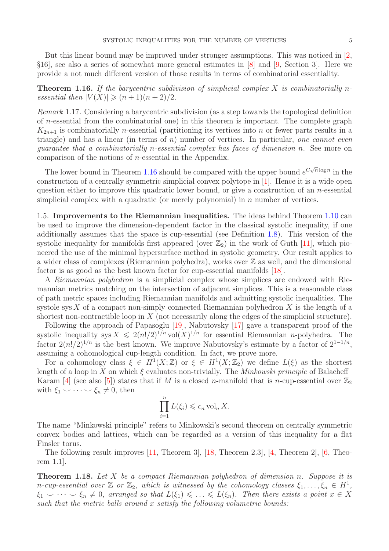But this linear bound may be improved under stronger assumptions. This was noticed in [\[2,](#page-15-0) §16], see also a series of somewhat more general estimates in [\[8\]](#page-15-13) and [\[9,](#page-15-14) Section 3]. Here we provide a not much different version of those results in terms of combinatorial essentiality.

## <span id="page-4-2"></span>**Theorem 1.16.** If the barycentric subdivision of simplicial complex  $X$  is combinatorially nessential then  $|V(X)| \geq (n+1)(n+2)/2$ .

<span id="page-4-1"></span>Remark 1.17. Considering a barycentric subdivision (as a step towards the topological definition of n-essential from the combinatorial one) in this theorem is important. The complete graph  $K_{2n+1}$  is combinatorially *n*-essential (partitioning its vertices into *n* or fewer parts results in a triangle) and has a linear (in terms of  $n$ ) number of vertices. In particular, one cannot even guarantee that a combinatorially n-essential complex has faces of dimension n. See more on comparison of the notions of n-essential in the Appendix.

The lower bound in Theorem [1.16](#page-4-2) should be compared with the upper bound  $e^{C\sqrt{n}\log n}$  in the construction of a centrally symmetric simplicial convex polytope in [\[1\]](#page-15-1). Hence it is a wide open question either to improve this quadratic lower bound, or give a construction of an n-essential simplicial complex with a quadratic (or merely polynomial) in  $n$  number of vertices.

1.5. Improvements to the Riemannian inequalities. The ideas behind Theorem [1.10](#page-2-1) can be used to improve the dimension-dependent factor in the classical systolic inequality, if one additionally assumes that the space is cup-essential (see Definition [1.8\)](#page-2-2). This version of the systolic inequality for manifolds first appeared (over  $\mathbb{Z}_2$ ) in the work of Guth [\[11\]](#page-15-3), which pioneered the use of the minimal hypersurface method in systolic geometry. Our result applies to a wider class of complexes (Riemannian polyhedra), works over  $\mathbb Z$  as well, and the dimensional factor is as good as the best known factor for cup-essential manifolds [\[18\]](#page-16-0).

A Riemannian polyhedron is a simplicial complex whose simplices are endowed with Riemannian metrics matching on the intersection of adjacent simplices. This is a reasonable class of path metric spaces including Riemannian manifolds and admitting systolic inequalities. The systole sys  $X$  of a compact non-simply connected Riemannian polyhedron  $X$  is the length of a shortest non-contractible loop in  $X$  (not necessarily along the edges of the simplicial structure).

Following the approach of Papasoglu [\[19\]](#page-16-2), Nabutovsky [\[17\]](#page-16-5) gave a transparent proof of the systolic inequality sys  $X \leq 2(n!/2)^{1/n}$  vol $(X)^{1/n}$  for essential Riemannian *n*-polyhedra. The factor  $2(n!/2)^{1/n}$  is the best known. We improve Nabutovsky's estimate by a factor of  $2^{1-1/n}$ , assuming a cohomological cup-length condition. In fact, we prove more.

For a cohomology class  $\xi \in H^1(X;\mathbb{Z})$  or  $\xi \in H^1(X;\mathbb{Z}_2)$  we define  $L(\xi)$  as the shortest length of a loop in X on which  $\xi$  evaluates non-trivially. The Minkowski principle of Balacheff– Karam [\[4\]](#page-15-4) (see also [\[5\]](#page-15-15)) states that if M is a closed n-manifold that is n-cup-essential over  $\mathbb{Z}_2$ with  $\xi_1 \smile \cdots \smile \xi_n \neq 0$ , then

$$
\prod_{i=1}^{n} L(\xi_i) \leqslant c_n \operatorname{vol}_n X.
$$

The name "Minkowski principle" refers to Minkowski's second theorem on centrally symmetric convex bodies and lattices, which can be regarded as a version of this inequality for a flat Finsler torus.

The following result improves [\[11,](#page-15-3) Theorem 3], [\[18,](#page-16-0) Theorem 2.3], [\[4,](#page-15-4) Theorem 2], [\[6,](#page-15-5) Theorem 1.1].

<span id="page-4-0"></span>Theorem 1.18. Let X be a compact Riemannian polyhedron of dimension n. Suppose it is n-cup-essential over  $\mathbb Z$  or  $\mathbb Z_2$ , which is witnessed by the cohomology classes  $\xi_1,\ldots,\xi_n \in H^1$ ,  $\xi_1 \smile \cdots \smile \xi_n \neq 0$ , arranged so that  $L(\xi_1) \leq \ldots \leq L(\xi_n)$ . Then there exists a point  $x \in X$ such that the metric balls around  $x$  satisfy the following volumetric bounds: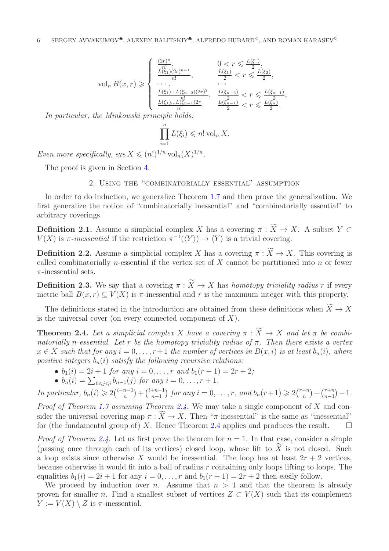$$
\text{vol}_n B(x, r) \geqslant \begin{cases} \frac{(2r)^n}{n!}, & 0 < r \leqslant \frac{L(\xi_1)}{2}, \\ \frac{L(\xi_1)(2r)^{n-1}}{n!}, & \frac{L(\xi_1)}{2} < r \leqslant \frac{L(\xi_2)}{2}, \\ \cdots, & \cdots \\ \frac{L(\xi_1)\dots L(\xi_{n-2})(2r)^2}{n!}, & \frac{L(\xi_{n-2})}{2} < r \leqslant \frac{L(\xi_{n-1})}{2}, \\ \frac{L(\xi_1)\dots L(\xi_{n-1})2r}{n!}, & \frac{L(\xi_{n-1})}{2} < r \leqslant \frac{L(\xi_n)}{2}. \end{cases}
$$

In particular, the Minkowski principle holds:

$$
\prod_{i=1}^{n} L(\xi_i) \leqslant n! \operatorname{vol}_n X.
$$

Even more specifically, sys  $X \leqslant (n!)^{1/n} \text{vol}_n(X)^{1/n}$ .

<span id="page-5-0"></span>The proof is given in Section [4.](#page-11-0)

# 2. Using the "combinatorially essential" assumption

In order to do induction, we generalize Theorem [1.7](#page-2-0) and then prove the generalization. We first generalize the notion of "combinatorially inessential" and "combinatorially essential" to arbitrary coverings.

**Definition 2.1.** Assume a simplicial complex X has a covering  $\pi : X \to X$ . A subset  $Y \subset$  $V(X)$  is  $\pi$ -inessential if the restriction  $\pi^{-1}(\langle Y \rangle) \to \langle Y \rangle$  is a trivial covering.

**Definition 2.2.** Assume a simplicial complex X has a covering  $\pi : X \to X$ . This covering is called combinatorially *n*-essential if the vertex set of  $X$  cannot be partitioned into  $n$  or fewer  $\pi$ -inessential sets.

**Definition 2.3.** We say that a covering  $\pi : X \to X$  has homotopy triviality radius r if every metric ball  $B(x, r) \subset V(X)$  is  $\pi$ -inessential and r is the maximum integer with this property.

The definitions stated in the introduction are obtained from these definitions when  $X \to X$ is the universal cover (on every connected component of  $X$ ).

<span id="page-5-1"></span>**Theorem 2.4.** Let a simplicial complex X have a covering  $\pi : X \to X$  and let  $\pi$  be combinatorially n-essential. Let r be the homotopy triviality radius of  $\pi$ . Then there exists a vertex  $x \in X$  such that for any  $i = 0, \ldots, r+1$  the number of vertices in  $B(x, i)$  is at least  $b_n(i)$ , where positive integers  $b_n(i)$  satisfy the following recursive relations:

- $b_1(i) = 2i + 1$  for any  $i = 0, ..., r$  and  $b_1(r + 1) = 2r + 2$ ;
- $b_n(i) = \sum_{0 \le j \le i} b_{n-1}(j)$  for any  $i = 0, ..., r + 1$ .

In particular,  $b_n(i) \geq 2{i+n-1 \choose n} + {i+n-1 \choose n-1}$  $n-1$ for any  $i = 0, \ldots, r$ , and  $b_n(r+1) \geqslant 2\binom{r+n}{n}$  $\binom{+n}{n} + \binom{r+n}{n-1}$  $n-1$  $) - 1.$ 

*Proof of Theorem [1.7](#page-2-0) assuming Theorem [2.4.](#page-5-1)* We may take a single component of X and consider the universal covering map  $\pi : X \to X$ . Then " $\pi$ -inessential" is the same as "inessential" for (the fundamental group of) X. Hence Theorem [2.4](#page-5-1) applies and produces the result.  $\square$ 

*Proof of Theorem [2.4.](#page-5-1)* Let us first prove the theorem for  $n = 1$ . In that case, consider a simple (passing once through each of its vertices) closed loop, whose lift to  $X$  is not closed. Such a loop exists since otherwise X would be inessential. The loop has at least  $2r + 2$  vertices, because otherwise it would fit into a ball of radius  $r$  containing only loops lifting to loops. The equalities  $b_1(i) = 2i + 1$  for any  $i = 0, \ldots, r$  and  $b_1(r + 1) = 2r + 2$  then easily follow.

We proceed by induction over n. Assume that  $n > 1$  and that the theorem is already proven for smaller n. Find a smallest subset of vertices  $Z \subset V(X)$  such that its complement  $Y := V(X) \setminus Z$  is  $\pi$ -inessential.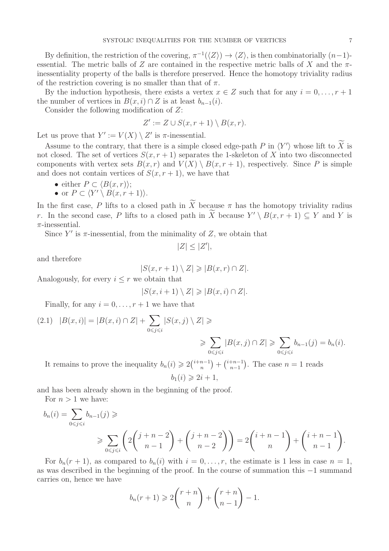By definition, the restriction of the covering,  $\pi^{-1}(\langle Z \rangle) \to \langle Z \rangle$ , is then combinatorially  $(n-1)$ essential. The metric balls of Z are contained in the respective metric balls of X and the  $\pi$ inessentiality property of the balls is therefore preserved. Hence the homotopy triviality radius of the restriction covering is no smaller than that of  $\pi$ .

By the induction hypothesis, there exists a vertex  $x \in Z$  such that for any  $i = 0, \ldots, r + 1$ the number of vertices in  $B(x, i) \cap Z$  is at least  $b_{n-1}(i)$ .

Consider the following modification of Z:

$$
Z' := Z \cup S(x, r+1) \setminus B(x, r).
$$

Let us prove that  $Y' := V(X) \setminus Z'$  is  $\pi$ -inessential.

Assume to the contrary, that there is a simple closed edge-path  $P$  in  $\langle Y' \rangle$  whose lift to X is not closed. The set of vertices  $S(x, r + 1)$  separates the 1-skeleton of X into two disconnected components with vertex sets  $B(x, r)$  and  $V(X) \setminus B(x, r + 1)$ , respectively. Since P is simple and does not contain vertices of  $S(x, r + 1)$ , we have that

• either 
$$
P \subset \langle B(x,r) \rangle
$$
;

• or 
$$
P \subset \langle Y' \setminus B(x, r+1) \rangle
$$
.

In the first case, P lifts to a closed path in X because  $\pi$  has the homotopy triviality radius r. In the second case, P lifts to a closed path in X because  $Y' \setminus B(x, r + 1) \subseteq Y$  and Y is  $\pi$ -inessential.

Since  $Y'$  is  $\pi$ -inessential, from the minimality of Z, we obtain that

$$
|Z| \leq |Z'|,
$$

and therefore

$$
|S(x,r+1)\setminus Z|\geqslant |B(x,r)\cap Z|.
$$

Analogously, for every  $i \leq r$  we obtain that

$$
|S(x, i+1) \setminus Z| \geqslant |B(x, i) \cap Z|.
$$

Finally, for any  $i = 0, \ldots, r + 1$  we have that

$$
(2.1) \quad |B(x,i)| = |B(x,i) \cap Z| + \sum_{0 \le j \le i} |S(x,j) \setminus Z| \ge \sum_{0 \le j \le i} |B(x,j) \cap Z| \ge \sum_{0 \le j \le i} b_{n-1}(j) = b_n(i).
$$

It remains to prove the inequality  $b_n(i) \geq 2\binom{i+n-1}{n} + \binom{i+n-1}{n-1}$  $n-1$ ). The case  $n = 1$  reads  $b_1(i) \geq 2i + 1$ ,

and has been already shown in the beginning of the proof.

For  $n > 1$  we have:

$$
b_n(i) = \sum_{0 \le j \le i} b_{n-1}(j) \ge
$$
  
\$\ge \sum\_{0 \le j \le i} \left( 2\binom{j+n-2}{n-1} + \binom{j+n-2}{n-2} \right) = 2\binom{i+n-1}{n} + \binom{i+n-1}{n-1}.

For  $b_n(r + 1)$ , as compared to  $b_n(i)$  with  $i = 0, \ldots, r$ , the estimate is 1 less in case  $n = 1$ , as was described in the beginning of the proof. In the course of summation this −1 summand carries on, hence we have

$$
b_n(r+1) \geqslant 2\binom{r+n}{n} + \binom{r+n}{n-1} - 1.
$$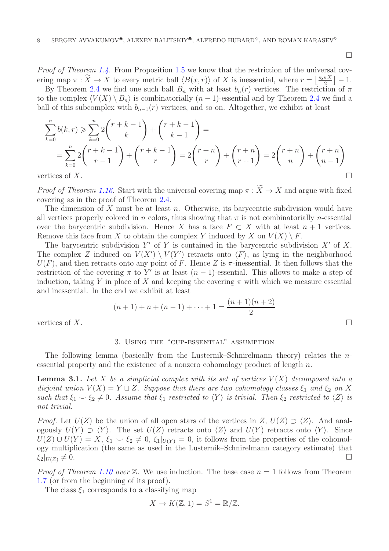$\Box$ 

Proof of Theorem [1.4.](#page-1-0) From Proposition [1.5](#page-1-1) we know that the restriction of the universal covering map  $\pi : \widetilde{X} \to X$  to every metric ball  $\langle B(x,r) \rangle$  of X is inessential, where  $r = \lfloor \frac{\text{sys } X}{2} \rfloor$  $\frac{\mathrm{s} X}{2}$  | - 1.

By Theorem [2.4](#page-5-1) we find one such ball  $B_n$  with at least  $b_n(r)$  vertices. The restriction of  $\pi$ to the complex  $\langle V(X) \setminus B_n \rangle$  is combinatorially  $(n-1)$ -essential and by Theorem [2.4](#page-5-1) we find a ball of this subcomplex with  $b_{n-1}(r)$  vertices, and so on. Altogether, we exhibit at least

$$
\sum_{k=0}^{n} b(k,r) \geqslant \sum_{k=0}^{n} 2\binom{r+k-1}{k} + \binom{r+k-1}{k-1} =
$$
\n
$$
= \sum_{k=0}^{n} 2\binom{r+k-1}{r-1} + \binom{r+k-1}{r} = 2\binom{r+n}{r} + \binom{r+n}{r+1} = 2\binom{r+n}{n} + \binom{r+n}{n-1}
$$
\nvertices of *X*.

*Proof of Theorem [1.16.](#page-4-2)* Start with the universal covering map  $\pi : X \to X$  and argue with fixed covering as in the proof of Theorem [2.4.](#page-5-1)

The dimension of X must be at least n. Otherwise, its barycentric subdivision would have all vertices properly colored in n colors, thus showing that  $\pi$  is not combinatorially n-essential over the barycentric subdivision. Hence X has a face  $F \subset X$  with at least  $n + 1$  vertices. Remove this face from X to obtain the complex Y induced by X on  $V(X) \setminus F$ .

The barycentric subdivision Y' of Y is contained in the barycentric subdivision  $X'$  of X. The complex Z induced on  $V(X') \setminus V(Y')$  retracts onto  $\langle F \rangle$ , as lying in the neighborhood  $U(F)$ , and then retracts onto any point of F. Hence Z is  $\pi$ -inessential. It then follows that the restriction of the covering  $\pi$  to Y' is at least  $(n-1)$ -essential. This allows to make a step of induction, taking Y in place of X and keeping the covering  $\pi$  with which we measure essential and inessential. In the end we exhibit at least

$$
(n+1) + n + (n-1) + \dots + 1 = \frac{(n+1)(n+2)}{2}
$$

<span id="page-7-1"></span>vertices of X.

### 3. Using the "cup-essential" assumption

The following lemma (basically from the Lusternik–Schnirelmann theory) relates the nessential property and the existence of a nonzero cohomology product of length  $n$ .

<span id="page-7-0"></span>**Lemma 3.1.** Let X be a simplicial complex with its set of vertices  $V(X)$  decomposed into a disjoint union  $V(X) = Y \sqcup Z$ . Suppose that there are two cohomology classes  $\xi_1$  and  $\xi_2$  on X such that  $\xi_1 \smile \xi_2 \neq 0$ . Assume that  $\xi_1$  restricted to  $\langle Y \rangle$  is trivial. Then  $\xi_2$  restricted to  $\langle Z \rangle$  is not trivial.

*Proof.* Let  $U(Z)$  be the union of all open stars of the vertices in  $Z, U(Z) \supset Z$ . And analogously  $U(Y) \supset \langle Y \rangle$ . The set  $U(Z)$  retracts onto  $\langle Z \rangle$  and  $U(Y)$  retracts onto  $\langle Y \rangle$ . Since  $U(Z) \cup U(Y) = X$ ,  $\xi_1 \smile \xi_2 \neq 0$ ,  $\xi_1|_{U(Y)} = 0$ , it follows from the properties of the cohomology multiplication (the same as used in the Lusternik–Schnirelmann category estimate) that  $\xi_2|_{U(Z)} \neq 0.$ 

*Proof of Theorem [1.10](#page-2-1) over*  $\mathbb{Z}$ . We use induction. The base case  $n = 1$  follows from Theorem [1.7](#page-2-0) (or from the beginning of its proof).

The class  $\xi_1$  corresponds to a classifying map

$$
X \to K(\mathbb{Z}, 1) = S^1 = \mathbb{R}/\mathbb{Z}.
$$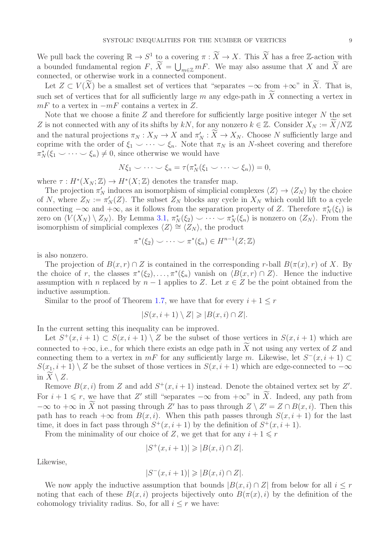We pull back the covering  $\mathbb{R} \to S^1$  to a covering  $\pi : \widetilde{X} \to X$ . This  $\widetilde{X}$  has a free Z-action with a bounded fundamental region  $F, \ \widetilde{X} = \bigcup_{m \in \mathbb{Z}} mF$ . We may also assume that X and  $\widetilde{X}$  are connected, or otherwise work in a connected component.

Let  $Z \subset V(X)$  be a smallest set of vertices that "separates  $-\infty$  from  $+\infty$ " in X. That is, such set of vertices that for all sufficiently large  $m$  any edge-path in  $X$  connecting a vertex in  $mF$  to a vertex in  $-mF$  contains a vertex in Z.

Note that we choose a finite  $Z$  and therefore for sufficiently large positive integer  $N$  the set Z is not connected with any of its shifts by  $kN$ , for any nonzero  $k \in \mathbb{Z}$ . Consider  $X_N := \widetilde{X}/N\mathbb{Z}$ and the natural projections  $\pi_N : X_N \to X$  and  $\pi'_N : X \to X_N$ . Choose N sufficiently large and coprime with the order of  $\xi_1 \smile \cdots \smile \xi_n$ . Note that  $\pi_N$  is an N-sheet covering and therefore  $\pi_N^*(\xi_1 \smile \cdots \smile \xi_n) \neq 0$ , since otherwise we would have

$$
N\xi_1 \smile \cdots \smile \xi_n = \tau(\pi_N^*(\xi_1 \smile \cdots \smile \xi_n)) = 0,
$$

where  $\tau: H^*(X_N; \mathbb{Z}) \to H^*(X; \mathbb{Z})$  denotes the transfer map.

The projection  $\pi'_N$  induces an isomorphism of simplicial complexes  $\langle Z \rangle \to \langle Z_N \rangle$  by the choice of N, where  $Z_N := \pi'_N(Z)$ . The subset  $Z_N$  blocks any cycle in  $X_N$  which could lift to a cycle connecting  $-\infty$  and  $+\infty$ , as it follows from the separation property of Z. Therefore  $\pi_N^*(\xi_1)$  is zero on  $\langle V(X_N) \setminus Z_N \rangle$ . By Lemma [3.1,](#page-7-0)  $\pi_N^*(\xi_2) \cup \cdots \cup \pi_N^*(\xi_n)$  is nonzero on  $\langle Z_N \rangle$ . From the isomorphism of simplicial complexes  $\langle Z \rangle \cong \langle Z_N \rangle$ , the product

$$
\pi^*(\xi_2) \smile \cdots \smile \pi^*(\xi_n) \in H^{n-1}(Z; \mathbb{Z})
$$

is also nonzero.

The projection of  $B(x, r) \cap Z$  is contained in the corresponding r-ball  $B(\pi(x), r)$  of X. By the choice of r, the classes  $\pi^*(\xi_2), \ldots, \pi^*(\xi_n)$  vanish on  $\langle B(x, r) \cap Z \rangle$ . Hence the inductive assumption with n replaced by  $n-1$  applies to Z. Let  $x \in Z$  be the point obtained from the inductive assumption.

Similar to the proof of Theorem [1.7,](#page-2-0) we have that for every  $i + 1 \leq r$ 

$$
|S(x, i+1) \setminus Z| \geq |B(x, i) \cap Z|.
$$

In the current setting this inequality can be improved.

Let  $S^+(x, i+1) \subset S(x, i+1) \setminus Z$  be the subset of those vertices in  $S(x, i+1)$  which are connected to  $+\infty$ , i.e., for which there exists an edge path in X not using any vertex of Z and connecting them to a vertex in  $mF$  for any sufficiently large m. Likewise, let  $S^-(x, i+1) \subset$  $S(x_1, i+1) \setminus Z$  be the subset of those vertices in  $S(x, i+1)$  which are edge-connected to  $-\infty$ in  $X \setminus Z$ .

Remove  $B(x, i)$  from Z and add  $S^+(x, i+1)$  instead. Denote the obtained vertex set by Z'. For  $i + 1 \leq r$ , we have that Z' still "separates  $-\infty$  from  $+\infty$ " in X. Indeed, any path from  $-\infty$  to  $+\infty$  in X not passing through Z' has to pass through  $Z \setminus Z' = Z \cap B(x, i)$ . Then this path has to reach  $+\infty$  from  $B(x, i)$ . When this path passes through  $S(x, i + 1)$  for the last time, it does in fact pass through  $S^+(x, i+1)$  by the definition of  $S^+(x, i+1)$ .

From the minimality of our choice of Z, we get that for any  $i + 1 \leq r$ 

$$
|S^+(x, i+1)| \geq |B(x, i) \cap Z|.
$$

Likewise,

$$
|S^-(x,i+1)| \geq |B(x,i) \cap Z|.
$$

We now apply the inductive assumption that bounds  $|B(x, i) \cap Z|$  from below for all  $i \leq r$ noting that each of these  $B(x, i)$  projects bijectively onto  $B(\pi(x), i)$  by the definition of the cohomology triviality radius. So, for all  $i \leq r$  we have: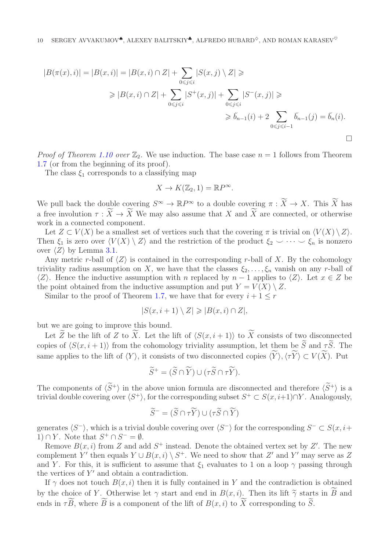$$
|B(\pi(x), i)| = |B(x, i)| = |B(x, i) \cap Z| + \sum_{0 \le j \le i} |S(x, j) \setminus Z| \ge
$$
  
\n
$$
\ge |B(x, i) \cap Z| + \sum_{0 \le j \le i} |S^+(x, j)| + \sum_{0 \le j \le i} |S^-(x, j)| \ge
$$
  
\n
$$
\ge b_{n-1}(i) + 2 \sum_{0 \le j \le i-1} b_{n-1}(j) = b_n(i).
$$

*Proof of Theorem [1.10](#page-2-1) over*  $\mathbb{Z}_2$ . We use induction. The base case  $n = 1$  follows from Theorem [1.7](#page-2-0) (or from the beginning of its proof).

The class  $\xi_1$  corresponds to a classifying map

$$
X \to K(\mathbb{Z}_2, 1) = \mathbb{R}P^{\infty}.
$$

We pull back the double covering  $S^{\infty} \to \mathbb{R}P^{\infty}$  to a double covering  $\pi : \widetilde{X} \to X$ . This  $\widetilde{X}$  has a free involution  $\tau: X \to X$  We may also assume that X and X are connected, or otherwise work in a connected component.

Let  $Z \subset V(X)$  be a smallest set of vertices such that the covering  $\pi$  is trivial on  $\langle V(X) \setminus Z \rangle$ . Then  $\xi_1$  is zero over  $\langle V(X) \setminus Z \rangle$  and the restriction of the product  $\xi_2 \setminus \cdots \setminus \xi_n$  is nonzero over  $\langle Z \rangle$  by Lemma [3.1.](#page-7-0)

Any metric r-ball of  $\langle Z \rangle$  is contained in the corresponding r-ball of X. By the cohomology triviality radius assumption on X, we have that the classes  $\xi_2, \ldots, \xi_n$  vanish on any r-ball of  $\langle Z \rangle$ . Hence the inductive assumption with n replaced by n − 1 applies to  $\langle Z \rangle$ . Let  $x \in Z$  be the point obtained from the inductive assumption and put  $Y = V(X) \setminus Z$ .

Similar to the proof of Theorem [1.7,](#page-2-0) we have that for every  $i + 1 \leq r$ 

$$
|S(x, i+1) \setminus Z| \geq |B(x, i) \cap Z|,
$$

but we are going to improve this bound.

Let Z be the lift of Z to X. Let the lift of  $\langle S(x, i + 1) \rangle$  to X consists of two disconnected copies of  $\langle S(x, i + 1) \rangle$  from the cohomology triviality assumption, let them be  $\tilde{S}$  and  $\tau \tilde{S}$ . The same applies to the lift of  $\langle Y \rangle$ , it consists of two disconnected copies  $\langle Y \rangle, \langle \tau Y \rangle \subset V(X)$ . Put

$$
\widetilde{S}^+ = (\widetilde{S} \cap \widetilde{Y}) \cup (\tau \widetilde{S} \cap \tau \widetilde{Y}).
$$

The components of  $\langle \widetilde{S}^+\rangle$  in the above union formula are disconnected and therefore  $\langle \widetilde{S}^+\rangle$  is a trivial double covering over  $\langle S^+ \rangle$ , for the corresponding subset  $S^+ \subset S(x, i+1) \cap Y$ . Analogously,

$$
\widetilde{S}^- = (\widetilde{S} \cap \tau \widetilde{Y}) \cup (\tau \widetilde{S} \cap \widetilde{Y})
$$

generates  $\langle S^-\rangle$ , which is a trivial double covering over  $\langle S^-\rangle$  for the corresponding  $S^- \subset S(x, i+\rangle)$ 1)  $\cap$  Y. Note that  $S^+ \cap S^- = \emptyset$ .

Remove  $B(x, i)$  from Z and add  $S^+$  instead. Denote the obtained vertex set by Z'. The new complement Y' then equals  $Y \cup B(x, i) \setminus S^+$ . We need to show that Z' and Y' may serve as Z and Y. For this, it is sufficient to assume that  $\xi_1$  evaluates to 1 on a loop  $\gamma$  passing through the vertices of  $Y'$  and obtain a contradiction.

If  $\gamma$  does not touch  $B(x, i)$  then it is fully contained in Y and the contradiction is obtained by the choice of Y. Otherwise let  $\gamma$  start and end in  $B(x, i)$ . Then its lift  $\widetilde{\gamma}$  starts in B and ends in  $\tau B$ , where B is a component of the lift of  $B(x, i)$  to X corresponding to S.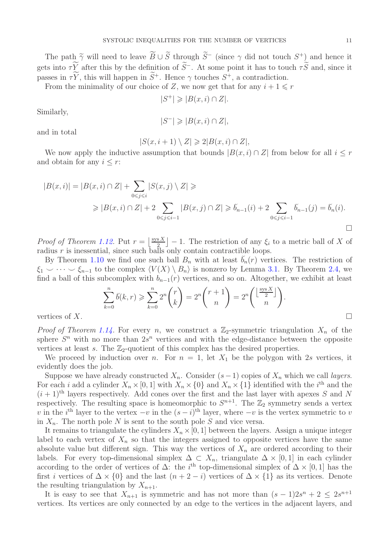The path  $\widetilde{\gamma}$  will need to leave  $B \cup \widetilde{S}$  through  $\widetilde{S}^-$  (since  $\gamma$  did not touch  $S^+$ ) and hence it gets into  $\tau Y$  after this by the definition of  $S^-$ . At some point it has to touch  $\tau S$  and, since it passes in  $\tau Y$ , this will happen in  $S^+$ . Hence  $\gamma$  touches  $S^+$ , a contradiction.

From the minimality of our choice of Z, we now get that for any  $i + 1 \leq r$ 

$$
|S^+| \geq |B(x, i) \cap Z|.
$$

Similarly,

$$
|S^{-}| \geqslant |B(x,i) \cap Z|,
$$

and in total

$$
|S(x, i+1) \setminus Z| \geq 2|B(x, i) \cap Z|,
$$

We now apply the inductive assumption that bounds  $|B(x, i) \cap Z|$  from below for all  $i \leq r$ and obtain for any  $i \leq r$ :

$$
|B(x,i)| = |B(x,i) \cap Z| + \sum_{0 \le j \le i} |S(x,j) \setminus Z| \ge
$$
  
\$\ge |B(x,i) \cap Z| + 2 \sum\_{0 \le j \le i-1} |B(x,j) \cap Z| \ge b\_{n-1}(i) + 2 \sum\_{0 \le j \le i-1} b\_{n-1}(j) = b\_n(i).

*Proof of Theorem [1.12.](#page-3-0)* Put  $r = \frac{sgsX}{2}$  $\left[\frac{S X}{2}\right] - 1$ . The restriction of any  $\xi_i$  to a metric ball of X of radius  $r$  is inessential, since such balls only contain contractible loops.

By Theorem [1.10](#page-2-1) we find one such ball  $B_n$  with at least  $\tilde{b}_n(r)$  vertices. The restriction of  $\xi_1 \smile \cdots \smile \xi_{n-1}$  to the complex  $\langle V(X) \setminus B_n \rangle$  is nonzero by Lemma [3.1.](#page-7-0) By Theorem [2.4,](#page-5-1) we find a ball of this subcomplex with  $b_{n-1}(r)$  vertices, and so on. Altogether, we exhibit at least

$$
\sum_{k=0}^{n} \tilde{b}(k,r) \geqslant \sum_{k=0}^{n} 2^{n} {r \choose k} = 2^{n} {r+1 \choose n} = 2^{n} \left( \frac{\lfloor \frac{\text{sys}X}{2} \rfloor}{n} \right).
$$

vertices of X.

*Proof of Theorem [1.14.](#page-3-1)* For every *n*, we construct a  $\mathbb{Z}_2$ -symmetric triangulation  $X_n$  of the sphere  $S<sup>n</sup>$  with no more than  $2s<sup>n</sup>$  vertices and with the edge-distance between the opposite vertices at least s. The  $\mathbb{Z}_2$ -quotient of this complex has the desired properties.

We proceed by induction over n. For  $n = 1$ , let  $X_1$  be the polygon with 2s vertices, it evidently does the job.

Suppose we have already constructed  $X_n$ . Consider  $(s-1)$  copies of  $X_n$  which we call *layers*. For each *i* add a cylinder  $X_n \times [0, 1]$  with  $X_n \times \{0\}$  and  $X_n \times \{1\}$  identified with the *i*<sup>th</sup> and the  $(i + 1)$ <sup>th</sup> layers respectively. Add cones over the first and the last layer with apexes S and N respectively. The resulting space is homeomorphic to  $S^{n+1}$ . The  $\mathbb{Z}_2$  symmetry sends a vertex v in the i<sup>th</sup> layer to the vertex  $-v$  in the  $(s-i)$ <sup>th</sup> layer, where  $-v$  is the vertex symmetric to v in  $X_n$ . The north pole N is sent to the south pole S and vice versa.

It remains to triangulate the cylinders  $X_n \times [0, 1]$  between the layers. Assign a unique integer label to each vertex of  $X_n$  so that the integers assigned to opposite vertices have the same absolute value but different sign. This way the vertices of  $X_n$  are ordered according to their labels. For every top-dimensional simplex  $\Delta \subset X_n$ , triangulate  $\Delta \times [0,1]$  in each cylinder according to the order of vertices of  $\Delta$ : the i<sup>th</sup> top-dimensional simplex of  $\Delta \times [0,1]$  has the first *i* vertices of  $\Delta \times \{0\}$  and the last  $(n + 2 - i)$  vertices of  $\Delta \times \{1\}$  as its vertices. Denote the resulting triangulation by  $X_{n+1}$ .

It is easy to see that  $X_{n+1}$  is symmetric and has not more than  $(s-1)2s^{n}+2 \leq 2s^{n+1}$ vertices. Its vertices are only connected by an edge to the vertices in the adjacent layers, and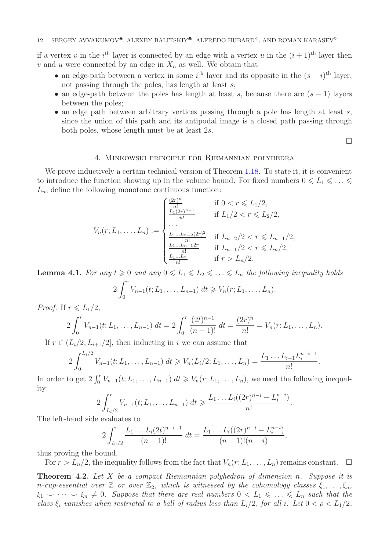if a vertex v in the  $i<sup>th</sup>$  layer is connected by an edge with a vertex u in the  $(i + 1)<sup>th</sup>$  layer then v and u were connected by an edge in  $X_n$  as well. We obtain that

- an edge-path between a vertex in some  $i^{\text{th}}$  layer and its opposite in the  $(s-i)^{\text{th}}$  layer, not passing through the poles, has length at least  $s$ ;
- an edge-path between the poles has length at least s, because there are  $(s 1)$  layers between the poles;
- an edge path between arbitrary vertices passing through a pole has length at least  $s$ . since the union of this path and its antipodal image is a closed path passing through both poles, whose length must be at least 2s.

 $\Box$ 

## 4. Minkowski principle for Riemannian polyhedra

<span id="page-11-0"></span>We prove inductively a certain technical version of Theorem [1.18.](#page-4-0) To state it, it is convenient to introduce the function showing up in the volume bound. For fixed numbers  $0 \leq L_1 \leq \ldots \leq$  $L_n$ , define the following monotone continuous function:

$$
V_n(r; L_1, \dots, L_n) := \begin{cases} \frac{\frac{(2r)^n}{n!}}{\frac{L_1(2r)^{n-1}}{n!}} & \text{if } 0 < r \le L_1/2, \\ \dots \\ \dots \\ \frac{L_1 \dots L_{n-2}(2r)^2}{n!} & \text{if } L_{n-2}/2 < r \le L_{n-1}/2, \\ \frac{L_1 \dots L_{n-1}(2r)}{n!} & \text{if } L_{n-1}/2 < r \le L_n/2, \\ \frac{L_1 \dots L_n}{n!} & \text{if } r > L_n/2. \end{cases}
$$

<span id="page-11-1"></span>**Lemma 4.1.** For any  $t \ge 0$  and any  $0 \le L_1 \le L_2 \le \ldots \le L_n$  the following inequality holds

$$
2\int_0^r V_{n-1}(t;L_1,\ldots,L_{n-1})\ dt \geq V_n(r;L_1,\ldots,L_n).
$$

*Proof.* If  $r \le L_1/2$ ,

$$
2\int_0^r V_{n-1}(t;L_1,\ldots,L_{n-1})\ dt=2\int_0^r \frac{(2t)^{n-1}}{(n-1)!}\ dt=\frac{(2r)^n}{n!}=V_n(r;L_1,\ldots,L_n).
$$

If  $r \in (L_i/2, L_{i+1}/2]$ , then inducting in i we can assume that  $f^L_i/2$  $V_{n-1}(t; L_1, \ldots, L_{n-1}) dt \geq V_n(L_i/2; L_1, \ldots, L_n) = \frac{L_1 \ldots L_{i-1}L_n}{n!}$ 

$$
2\int_0^{L_i/2} V_{n-1}(t;L_1,\ldots,L_{n-1}) dt \geq V_n(L_i/2;L_1,\ldots,L_n) = \frac{L_1 \ldots L_{i-1}L_i^{n-i+1}}{n!}.
$$

In order to get  $2 \int_0^r V_{n-1}(t; L_1, \ldots, L_{n-1}) dt \geq V_n(r; L_1, \ldots, L_n)$ , we need the following inequality:

$$
2\int_{L_i/2}^r V_{n-1}(t;L_1,\ldots,L_{n-1})\ dt \geqslant \frac{L_1\ldots L_i((2r)^{n-i}-L_i^{n-i})}{n!}.
$$

The left-hand side evaluates to

$$
2\int_{L_i/2}^r \frac{L_1 \dots L_i(2t)^{n-i-1}}{(n-1)!} dt = \frac{L_1 \dots L_i((2r)^{n-i} - L_i^{n-i})}{(n-1)!(n-i)},
$$

thus proving the bound.

For  $r > L_n/2$ , the inequality follows from the fact that  $V_n(r; L_1, \ldots, L_n)$  remains constant.  $\Box$ 

<span id="page-11-2"></span>Theorem 4.2. Let X be a compact Riemannian polyhedron of dimension n. Suppose it is n-cup-essential over  $\mathbb{Z}$  or over  $\mathbb{Z}_2$ , which is witnessed by the cohomology classes  $\xi_1, \ldots, \xi_n$ ,  $\xi_1 \smile \cdots \smile \xi_n \neq 0$ . Suppose that there are real numbers  $0 < L_1 \leq \ldots \leq L_n$  such that the class  $\xi_i$  vanishes when restricted to a ball of radius less than  $L_i/2$ , for all i. Let  $0 < \rho < L_1/2$ ,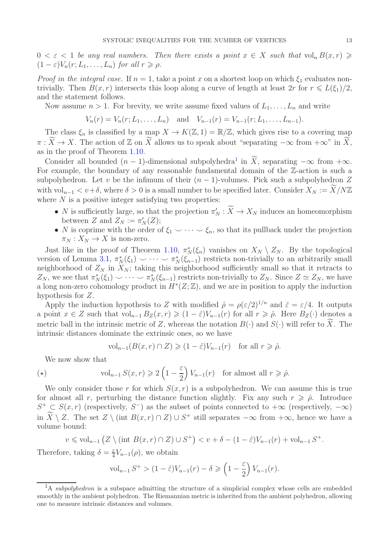$0 < \varepsilon < 1$  be any real numbers. Then there exists a point  $x \in X$  such that  $\text{vol}_n B(x,r) \geq$  $(1 - \varepsilon)V_n(r; L_1, \ldots, L_n)$  for all  $r \geq \rho$ .

*Proof in the integral case.* If  $n = 1$ , take a point x on a shortest loop on which  $\xi_1$  evaluates nontrivially. Then  $B(x, r)$  intersects this loop along a curve of length at least  $2r$  for  $r \le L(\xi_1)/2$ , and the statement follows.

Now assume  $n > 1$ . For brevity, we write assume fixed values of  $L_1, \ldots, L_n$  and write

$$
V_n(r) = V_n(r; L_1, \ldots, L_n)
$$
 and  $V_{n-1}(r) = V_{n-1}(r; L_1, \ldots, L_{n-1}).$ 

The class  $\xi_n$  is classified by a map  $X \to K(\mathbb{Z}, 1) = \mathbb{R}/\mathbb{Z}$ , which gives rise to a covering map  $\pi : \widetilde{X} \to X$ . The action of Z on  $\widetilde{X}$  allows us to speak about "separating  $-\infty$  from  $+\infty$ " in  $\widetilde{X}$ , as in the proof of Theorem [1.10.](#page-2-1)

Consider all bounded  $(n-1)$  $(n-1)$  $(n-1)$ -dimensional subpolyhedra<sup>1</sup> in X, separating  $-\infty$  from  $+\infty$ . For example, the boundary of any reasonable fundamental domain of the  $\mathbb{Z}$ -action is such a subpolyhedron. Let v be the infimum of their  $(n-1)$ -volumes. Pick such a subpolyhedron Z with  $vol_{n-1} < v+\delta$ , where  $\delta > 0$  is a small number to be specified later. Consider  $X_N := \widetilde{X}/N\mathbb{Z}$ where  $N$  is a positive integer satisfying two properties:

- N is sufficiently large, so that the projection  $\pi'_N : X \to X_N$  induces an homeomorphism between Z and  $Z_N := \pi'_N(Z);$
- N is coprime with the order of  $\xi_1 \smile \cdots \smile \xi_n$ , so that its pullback under the projection  $\pi_N : X_N \to X$  is non-zero.

Just like in the proof of Theorem [1.10,](#page-2-1)  $\pi_N^*(\xi_n)$  vanishes on  $X_N \setminus Z_N$ . By the topological version of Lemma [3.1,](#page-7-0)  $\pi_N^*(\xi_1) \smile \cdots \smile \pi_N^*(\xi_{n-1})$  restricts non-trivially to an arbitrarily small neighborhood of  $Z_N$  in  $X_N$ ; taking this neighborhood sufficiently small so that it retracts to  $Z_N$ , we see that  $\pi_N^*(\xi_1) \smile \cdots \smile \pi_N^*(\xi_{n-1})$  restricts non-trivially to  $Z_N$ . Since  $Z \simeq Z_N$ , we have a long non-zero cohomology product in  $H^*(Z;\mathbb{Z})$ , and we are in position to apply the induction hypothesis for Z.

Apply the induction hypothesis to Z with modified  $\hat{\rho} = \rho(\varepsilon/2)^{1/n}$  and  $\hat{\varepsilon} = \varepsilon/4$ . It outputs a point  $x \in Z$  such that  $\mathrm{vol}_{n-1} B_Z(x, r) \geq (1 - \hat{\varepsilon}) V_{n-1}(r)$  for all  $r \geq \hat{\rho}$ . Here  $B_Z(\cdot)$  denotes a metric ball in the intrinsic metric of Z, whereas the notation  $B(\cdot)$  and  $S(\cdot)$  will refer to X. The intrinsic distances dominate the extrinsic ones, so we have

$$
\text{vol}_{n-1}(B(x,r)\cap Z)\geq (1-\hat{\varepsilon})V_{n-1}(r) \quad \text{for all } r\geqslant \hat{\rho}.
$$

We now show that

<span id="page-12-1"></span>
$$
(\star) \quad \text{vol}_{n-1} S(x,r) \geq 2 \left(1 - \frac{\varepsilon}{2}\right) V_{n-1}(r) \quad \text{for almost all } r \geq \hat{\rho}.
$$

We only consider those r for which  $S(x, r)$  is a subpolyhedron. We can assume this is true for almost all r, perturbing the distance function slightly. Fix any such  $r \geq \hat{\rho}$ . Introduce  $S^+ \subset S(x,r)$  (respectively,  $S^-$ ) as the subset of points connected to  $+\infty$  (respectively,  $-\infty$ ) in  $X \setminus Z$ . The set  $Z \setminus (\text{int } B(x,r) \cap Z) \cup S^+$  still separates  $-\infty$  from  $+\infty$ , hence we have a volume bound:

$$
v \leqslant \text{vol}_{n-1} \left( Z \setminus (\text{int } B(x, r) \cap Z) \cup S^+ \right) < v + \delta - (1 - \hat{\varepsilon}) V_{n-1}(r) + \text{vol}_{n-1} S^+.
$$

Therefore, taking  $\delta = \frac{\varepsilon}{4}$  $\frac{\varepsilon}{4}V_{n-1}(\rho)$ , we obtain

$$
\mathrm{vol}_{n-1} S^+ > (1 - \hat{\varepsilon}) V_{n-1}(r) - \delta \geq \left(1 - \frac{\varepsilon}{2}\right) V_{n-1}(r).
$$

<span id="page-12-0"></span> $1_A$  subpolyhedron is a subspace admitting the structure of a simplicial complex whose cells are embedded smoothly in the ambient polyhedron. The Riemannian metric is inherited from the ambient polyhedron, allowing one to measure intrinsic distances and volumes.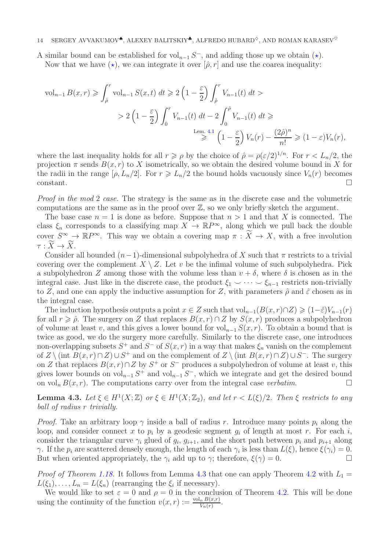A similar bound can be established for vol<sub>n−1</sub>  $S^-$ , and adding those up we obtain ( $\star$ ).

Now that we have  $(\star)$ , we can integrate it over  $[\hat{\rho}, r]$  and use the coarea inequality:

$$
\text{vol}_{n-1} B(x, r) \geq \int_{\hat{\rho}}^r \text{vol}_{n-1} S(x, t) dt \geq 2 \left( 1 - \frac{\varepsilon}{2} \right) \int_{\hat{\rho}}^r V_{n-1}(t) dt >
$$
  
> 2 \left( 1 - \frac{\varepsilon}{2} \right) \int\_0^r V\_{n-1}(t) dt - 2 \int\_0^{\hat{\rho}} V\_{n-1}(t) dt \geq  

$$
\stackrel{\text{Lem. 4.1}}{\geq} \left( 1 - \frac{\varepsilon}{2} \right) V_n(r) - \frac{(2\hat{\rho})^n}{n!} \geq (1 - \varepsilon) V_n(r),
$$

where the last inequality holds for all  $r \geq \rho$  by the choice of  $\hat{\rho} = \rho(\varepsilon/2)^{1/n}$ . For  $r < L_n/2$ , the projection  $\pi$  sends  $B(x, r)$  to X isometrically, so we obtain the desired volume bound in X for the radii in the range  $[\rho, L_n/2]$ . For  $r \ge L_n/2$  the bound holds vacuously since  $V_n(r)$  becomes  $\Box$ constant.

Proof in the mod 2 case. The strategy is the same as in the discrete case and the volumetric computations are the same as in the proof over  $\mathbb{Z}$ , so we only briefly sketch the argument.

The base case  $n = 1$  is done as before. Suppose that  $n > 1$  and that X is connected. The class  $\xi_n$  corresponds to a classifying map  $X \to \mathbb{R}P^{\infty}$ , along which we pull back the double cover  $S^{\infty} \to \mathbb{R}P^{\infty}$ . This way we obtain a covering map  $\pi : \widetilde{X} \to X$ , with a free involution  $\tau : X \to X.$ 

Consider all bounded  $(n-1)$ -dimensional subpolyhedra of X such that  $\pi$  restricts to a trivial covering over the complement  $X \setminus Z$ . Let v be the infimal volume of such subpolyhedra. Pick a subpolyhedron Z among those with the volume less than  $v + \delta$ , where  $\delta$  is chosen as in the integral case. Just like in the discrete case, the product  $\xi_1 \smile \cdots \smile \xi_{n-1}$  restricts non-trivially to Z, and one can apply the inductive assumption for Z, with parameters  $\hat{\rho}$  and  $\hat{\varepsilon}$  chosen as in the integral case.

The induction hypothesis outputs a point  $x \in Z$  such that  $\text{vol}_{n-1}(B(x,r) \cap Z) \geq (1-\hat{\varepsilon})V_{n-1}(r)$ for all  $r \geq \hat{\rho}$ . The surgery on Z that replaces  $B(x, r) \cap Z$  by  $S(x, r)$  produces a subpolyhedron of volume at least v, and this gives a lower bound for vol<sub>n−1</sub>  $S(x, r)$ . To obtain a bound that is twice as good, we do the surgery more carefully. Similarly to the discrete case, one introduces non-overlapping subsets  $S^+$  and  $S^-$  of  $S(x,r)$  in a way that makes  $\xi_n$  vanish on the complement of  $Z \setminus (\text{int } B(x,r) \cap Z) \cup S^+$  and on the complement of  $Z \setminus (\text{int } B(x,r) \cap Z) \cup S^-$ . The surgery on Z that replaces  $B(x, r) \cap Z$  by  $S^+$  or  $S^-$  produces a subpolyhedron of volume at least v, this gives lower bounds on  $vol_{n-1} S^+$  and  $vol_{n-1} S^-$ , which we integrate and get the desired bound on vol<sub>n</sub>  $B(x, r)$ . The computations carry over from the integral case verbatim.

<span id="page-13-0"></span>**Lemma 4.3.** Let  $\xi \in H^1(X;\mathbb{Z})$  or  $\xi \in H^1(X;\mathbb{Z}_2)$ , and let  $r < L(\xi)/2$ . Then  $\xi$  restricts to any ball of radius r trivially.

*Proof.* Take an arbitrary loop  $\gamma$  inside a ball of radius r. Introduce many points  $p_i$  along the loop, and consider connect x to  $p_i$  by a geodesic segment  $g_i$  of length at most r. For each i, consider the triangular curve  $\gamma_i$  glued of  $g_i$ ,  $g_{i+1}$ , and the short path between  $p_i$  and  $p_{i+1}$  along  $\gamma$ . If the  $p_i$  are scattered densely enough, the length of each  $\gamma_i$  is less than  $L(\xi)$ , hence  $\xi(\gamma_i) = 0$ . But when oriented appropriately, the  $\gamma_i$  add up to  $\gamma$ ; therefore,  $\xi(\gamma) = 0$ .

*Proof of Theorem [1.18.](#page-4-0)* It follows from Lemma [4.3](#page-13-0) that one can apply Theorem [4.2](#page-11-2) with  $L_1 =$  $L(\xi_1), \ldots, L_n = L(\xi_n)$  (rearranging the  $\xi_i$  if necessary).

We would like to set  $\varepsilon = 0$  and  $\rho = 0$  in the conclusion of Theorem [4.2.](#page-11-2) This will be done using the continuity of the function  $v(x,r) := \frac{\text{vol}_n B(x,r)}{V_n(r)}$ .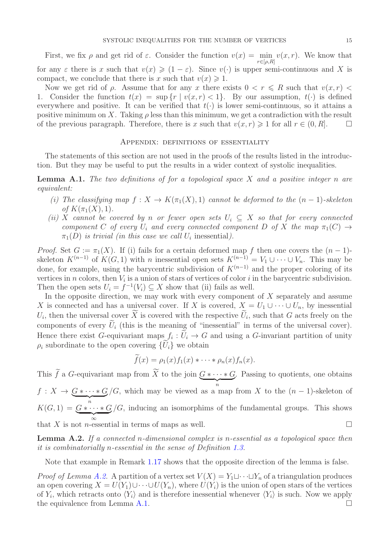First, we fix  $\rho$  and get rid of  $\varepsilon$ . Consider the function  $v(x) = \min$  $r \in [\rho, R]$  $v(x, r)$ . We know that for any  $\varepsilon$  there is x such that  $v(x) \geq (1 - \varepsilon)$ . Since  $v(\cdot)$  is upper semi-continuous and X is compact, we conclude that there is x such that  $v(x) \geq 1$ .

Now we get rid of  $\rho$ . Assume that for any x there exists  $0 < r \leq R$  such that  $v(x,r) <$ 1. Consider the function  $t(x) = \sup\{r \mid v(x,r) < 1\}$ . By our assumption,  $t(\cdot)$  is defined everywhere and positive. It can be verified that  $t(\cdot)$  is lower semi-continuous, so it attains a positive minimum on X. Taking  $\rho$  less than this minimum, we get a contradiction with the result of the previous paragraph. Therefore, there is x such that  $v(x, r) \geq 1$  for all  $r \in (0, R]$ .

### Appendix: definitions of essentiality

The statements of this section are not used in the proofs of the results listed in the introduction. But they may be useful to put the results in a wider context of systolic inequalities.

<span id="page-14-1"></span>**Lemma A.1.** The two definitions of for a topological space  $X$  and a positive integer n are equivalent:

- (i) The classifying map  $f: X \to K(\pi_1(X), 1)$  cannot be deformed to the  $(n-1)$ -skeleton of  $K(\pi_1(X), 1)$ .
- (ii) X cannot be covered by n or fewer open sets  $U_i \subseteq X$  so that for every connected component C of every  $U_i$  and every connected component D of X the map  $\pi_1(C) \rightarrow$  $\pi_1(D)$  is trivial (in this case we call  $U_i$  inessential).

*Proof.* Set  $G := \pi_1(X)$ . If (i) fails for a certain deformed map f then one covers the  $(n-1)$ skeleton  $K^{(n-1)}$  of  $K(G, 1)$  with n inessential open sets  $K^{(n-1)} = V_1 \cup \cdots \cup V_n$ . This may be done, for example, using the barycentric subdivision of  $K^{(n-1)}$  and the proper coloring of its vertices in *n* colors, then  $V_i$  is a union of stars of vertices of color *i* in the barycentric subdivision. Then the open sets  $U_i = f^{-1}(V_i) \subseteq X$  show that (ii) fails as well.

In the opposite direction, we may work with every component of  $X$  separately and assume X is connected and has a universal cover. If X is covered,  $X = U_1 \cup \cdots \cup U_n$ , by inessential  $U_i$ , then the universal cover X is covered with the respective  $U_i$ , such that G acts freely on the components of every  $\tilde{U}_i$  (this is the meaning of "inessential" in terms of the universal cover). Hence there exist G-equivariant maps  $f_i: U_i \to G$  and using a G-invariant partition of unity  $\rho_i$  subordinate to the open covering  $\{U_i\}$  we obtain

$$
f(x) = \rho_1(x) f_1(x) * \cdots * \rho_n(x) f_n(x).
$$

This f a G-equivariant map from X to the join  $G * \cdots * G$ . Passing to quotients, one obtains  $f: X \to \underbrace{G * \cdots * G}_{n}$ /G, which may be viewed as a map from X to the  $(n-1)$ -skeleton of  $K(G, 1) = \underbrace{G * \cdots * G}_{\infty}$  $/G$ , inducing an isomorphims of the fundamental groups. This shows that X is not *n*-essential in terms of maps as well.

<span id="page-14-0"></span>**Lemma A.2.** If a connected n-dimensional complex is n-essential as a topological space then it is combinatorially n-essential in the sense of Definition [1.3.](#page-1-2)

Note that example in Remark [1.17](#page-4-1) shows that the opposite direction of the lemma is false.

*Proof of Lemma [A.2.](#page-14-0)* A partition of a vertex set  $V(X) = Y_1 \sqcup \cdots \sqcup Y_n$  of a triangulation produces an open covering  $X = U(Y_1) \cup \cdots \cup U(Y_n)$ , where  $U(Y_i)$  is the union of open stars of the vertices of  $Y_i$ , which retracts onto  $\langle Y_i \rangle$  and is therefore inessential whenever  $\langle Y_i \rangle$  is such. Now we apply the equivalence from Lemma [A.1.](#page-14-1)  $\Box$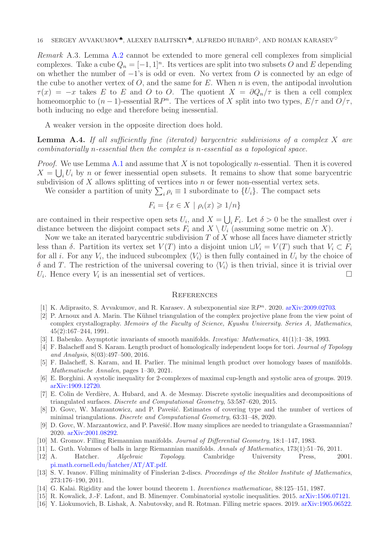Remark A.3. Lemma [A.2](#page-14-0) cannot be extended to more general cell complexes from simplicial complexes. Take a cube  $Q_n = [-1, 1]^n$ . Its vertices are split into two subsets O and E depending on whether the number of  $-1$ 's is odd or even. No vertex from O is connected by an edge of the cube to another vertex of  $O$ , and the same for  $E$ . When  $n$  is even, the antipodal involution  $\tau(x) = -x$  takes E to E and O to O. The quotient  $X = \partial Q_n/\tau$  is then a cell complex homeomorphic to  $(n-1)$ -essential  $\mathbb{R}P^n$ . The vertices of X split into two types,  $E/\tau$  and  $O/\tau$ , both inducing no edge and therefore being inessential.

A weaker version in the opposite direction does hold.

**Lemma A.4.** If all sufficiently fine (iterated) barycentric subdivisions of a complex X are combinatorially n-essential then the complex is n-essential as a topological space.

*Proof.* We use Lemma [A.1](#page-14-1) and assume that X is not topologically n-essential. Then it is covered  $X = \bigcup_i U_i$  by n or fewer inessential open subsets. It remains to show that some barycentric subdivision of  $X$  allows splitting of vertices into  $n$  or fewer non-essential vertex sets.

We consider a partition of unity  $\sum_i \rho_i \equiv 1$  subordinate to  $\{U_i\}$ . The compact sets

$$
F_i = \{ x \in X \mid \rho_i(x) \geqslant 1/n \}
$$

are contained in their respective open sets  $U_i$ , and  $X = \bigcup_i F_i$ . Let  $\delta > 0$  be the smallest over i distance between the disjoint compact sets  $F_i$  and  $X \setminus U_i$  (assuming some metric on X).

Now we take an iterated barycentric subdivision  $T$  of  $X$  whose all faces have diameter strictly less than δ. Partition its vertex set  $V(T)$  into a disjoint union  $\sqcup V_i = V(T)$  such that  $V_i \subset F_i$ for all *i*. For any  $V_i$ , the induced subcomplex  $\langle V_i \rangle$  is then fully contained in  $U_i$  by the choice of  $\delta$  and T. The restriction of the universal covering to  $\langle V_i \rangle$  is then trivial, since it is trivial over  $U_i$ . Hence every  $V_i$  is an inessential set of vertices.

#### **REFERENCES**

- <span id="page-15-1"></span><span id="page-15-0"></span>[1] K. Adiprasito, S. Avvakumov, and R. Karasev. A subexponential size  $\mathbb{R}P^n$ . 2020. [arXiv:2009.02703.](https://arxiv.org/abs/2009.02703)
- [2] P. Arnoux and A. Marin. The Kühnel triangulation of the complex projective plane from the view point of complex crystallography. Memoirs of the Faculty of Science, Kyushu University. Series A, Mathematics, 45(2):167–244, 1991.
- <span id="page-15-8"></span><span id="page-15-4"></span>[3] I. Babenko. Asymptotic invariants of smooth manifolds. Izvestiya: Mathematics, 41(1):1–38, 1993.
- [4] F. Balacheff and S. Karam. Length product of homologically independent loops for tori. Journal of Topology and Analysis, 8(03):497–500, 2016.
- <span id="page-15-15"></span>[5] F. Balacheff, S. Karam, and H. Parlier. The minimal length product over homology bases of manifolds. Mathematische Annalen, pages 1–30, 2021.
- <span id="page-15-5"></span><span id="page-15-2"></span>[6] E. Borghini. A systolic inequality for 2-complexes of maximal cup-length and systolic area of groups. 2019. [arXiv:1909.12720.](https://arxiv.org/abs/1909.12720)
- [7] E. Colin de Verdière, A. Hubard, and A. de Mesmay. Discrete systolic inequalities and decompositions of triangulated surfaces. Discrete and Computational Geometry, 53:587–620, 2015.
- <span id="page-15-13"></span>[8] D. Govc, W. Marzantowicz, and P. Pavešić. Estimates of covering type and the number of vertices of minimal triangulations. Discrete and Computational Geometry, 63:31–48, 2020.
- <span id="page-15-14"></span><span id="page-15-7"></span>[9] D. Govc, W. Marzantowicz, and P. Pavešić. How many simplices are needed to triangulate a Grassmannian? 2020. [arXiv:2001.08292.](https://arxiv.org/abs/2001.08292)
- <span id="page-15-3"></span>[10] M. Gromov. Filling Riemannian manifolds. Journal of Differential Geometry, 18:1–147, 1983.
- <span id="page-15-12"></span>[11] L. Guth. Volumes of balls in large Riemannian manifolds. Annals of Mathematics, 173(1):51–76, 2011.
- [12] A. Hatcher. Algebraic Topology. Cambridge University Press, 2001.  $pi.math.cornell.edu/hatcher/AT/AT.pdf.$  $pi.math.cornell.edu/hatcher/AT/AT.pdf.$
- <span id="page-15-6"></span>[13] S. V. Ivanov. Filling minimality of Finslerian 2-discs. Proceedings of the Steklov Institute of Mathematics, 273:176–190, 2011.
- <span id="page-15-11"></span><span id="page-15-9"></span>[14] G. Kalai. Rigidity and the lower bound theorem 1. Inventiones mathematicae, 88:125–151, 1987.
- <span id="page-15-10"></span>[15] R. Kowalick, J.-F. Lafont, and B. Minemyer. Combinatorial systolic inequalities. 2015. [arXiv:1506.07121.](https://arxiv.org/abs/1506.07121)
- [16] Y. Liokumovich, B. Lishak, A. Nabutovsky, and R. Rotman. Filling metric spaces. 2019. [arXiv:1905.06522.](https://arxiv.org/abs/1905.06522)